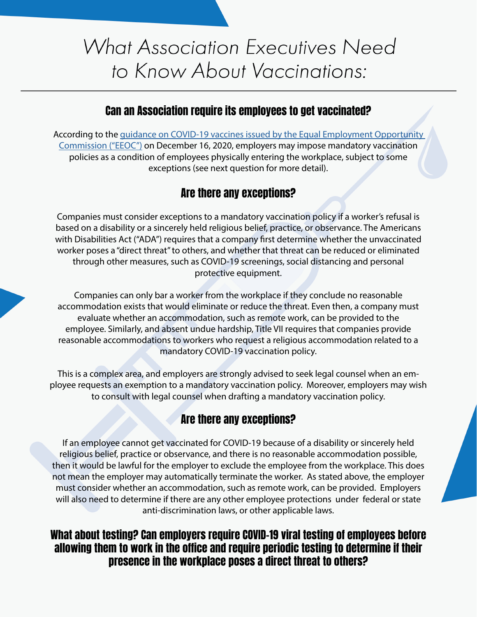# **What Association Executives Need** to Know About Vaccinations:

### Can an Association require its employees to get vaccinated?

According to the [guidance on COVID-19 vaccines issued by the Equal Employment Opportunity](https://www.eeoc.gov/wysk/what-you-should-know-about-covid-19-and-ada-rehabilitation-act-and-other-eeo-laws)  [Commission \("EEOC"\)](https://www.eeoc.gov/wysk/what-you-should-know-about-covid-19-and-ada-rehabilitation-act-and-other-eeo-laws) on December 16, 2020, employers may impose mandatory vaccination policies as a condition of employees physically entering the workplace, subject to some exceptions (see next question for more detail).

# Are there any exceptions?

Companies must consider exceptions to a mandatory vaccination policy if a worker's refusal is based on a disability or a sincerely held religious belief, practice, or observance. The Americans with Disabilities Act ("ADA") requires that a company first determine whether the unvaccinated worker poses a "direct threat" to others, and whether that threat can be reduced or eliminated through other measures, such as COVID-19 screenings, social distancing and personal protective equipment.

Companies can only bar a worker from the workplace if they conclude no reasonable accommodation exists that would eliminate or reduce the threat. Even then, a company must evaluate whether an accommodation, such as remote work, can be provided to the employee. Similarly, and absent undue hardship, Title VII requires that companies provide reasonable accommodations to workers who request a religious accommodation related to a mandatory COVID-19 vaccination policy.

This is a complex area, and employers are strongly advised to seek legal counsel when an employee requests an exemption to a mandatory vaccination policy. Moreover, employers may wish to consult with legal counsel when drafting a mandatory vaccination policy.

# Are there any exceptions?

If an employee cannot get vaccinated for COVID-19 because of a disability or sincerely held religious belief, practice or observance, and there is no reasonable accommodation possible, then it would be lawful for the employer to exclude the employee from the workplace. This does not mean the employer may automatically terminate the worker. As stated above, the employer must consider whether an accommodation, such as remote work, can be provided. Employers will also need to determine if there are any other employee protections under federal or state anti-discrimination laws, or other applicable laws.

#### What about testing? Can employers require COVID-19 viral testing of employees before allowing them to work in the office and require periodic testing to determine if their presence in the workplace poses a direct threat to others?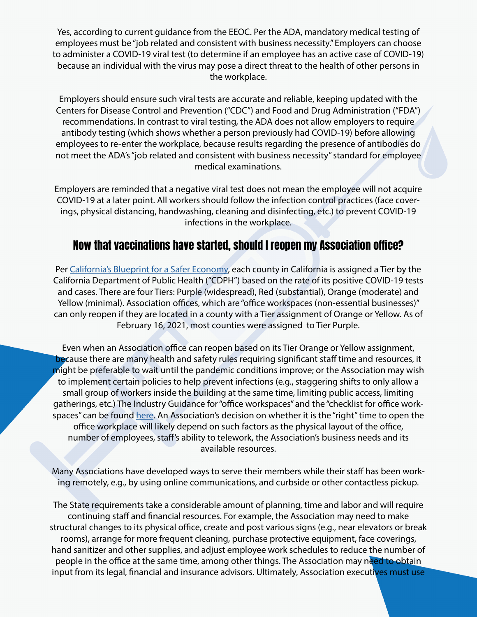Yes, according to current guidance from the EEOC. Per the ADA, mandatory medical testing of employees must be "job related and consistent with business necessity." Employers can choose to administer a COVID-19 viral test (to determine if an employee has an active case of COVID-19) because an individual with the virus may pose a direct threat to the health of other persons in the workplace.

Employers should ensure such viral tests are accurate and reliable, keeping updated with the Centers for Disease Control and Prevention ("CDC") and Food and Drug Administration ("FDA") recommendations. In contrast to viral testing, the ADA does not allow employers to require antibody testing (which shows whether a person previously had COVID-19) before allowing employees to re-enter the workplace, because results regarding the presence of antibodies do not meet the ADA's "job related and consistent with business necessity" standard for employee medical examinations.

Employers are reminded that a negative viral test does not mean the employee will not acquire COVID-19 at a later point. All workers should follow the infection control practices (face coverings, physical distancing, handwashing, cleaning and disinfecting, etc.) to prevent COVID-19 infections in the workplace.

## Now that vaccinations have started, should I reopen my Association office?

Per [California's Blueprint for a Safer Economy,](https://covid19.ca.gov/safer-economy/) each county in California is assigned a Tier by the California Department of Public Health ("CDPH") based on the rate of its positive COVID-19 tests and cases. There are four Tiers: Purple (widespread), Red (substantial), Orange (moderate) and Yellow (minimal). Association offices, which are "office workspaces (non-essential businesses)" can only reopen if they are located in a county with a Tier assignment of Orange or Yellow. As of February 16, 2021, most counties were assigned to Tier Purple.

Even when an Association office can reopen based on its Tier Orange or Yellow assignment, because there are many health and safety rules requiring significant staff time and resources, it might be preferable to wait until the pandemic conditions improve; or the Association may wish to implement certain policies to help prevent infections (e.g., staggering shifts to only allow a small group of workers inside the building at the same time, limiting public access, limiting gatherings, etc.) The Industry Guidance for "office workspaces" and the "checklist for office workspaces" can be found [here](https://covid19.ca.gov/industry-guidance/). An Association's decision on whether it is the "right" time to open the office workplace will likely depend on such factors as the physical layout of the office, number of employees, staff's ability to telework, the Association's business needs and its available resources.

Many Associations have developed ways to serve their members while their staff has been working remotely, e.g., by using online communications, and curbside or other contactless pickup.

The State requirements take a considerable amount of planning, time and labor and will require continuing staff and financial resources. For example, the Association may need to make structural changes to its physical office, create and post various signs (e.g., near elevators or break rooms), arrange for more frequent cleaning, purchase protective equipment, face coverings, hand sanitizer and other supplies, and adjust employee work schedules to reduce the number of people in the office at the same time, among other things. The Association may need to obtain input from its legal, financial and insurance advisors. Ultimately, Association executives must use